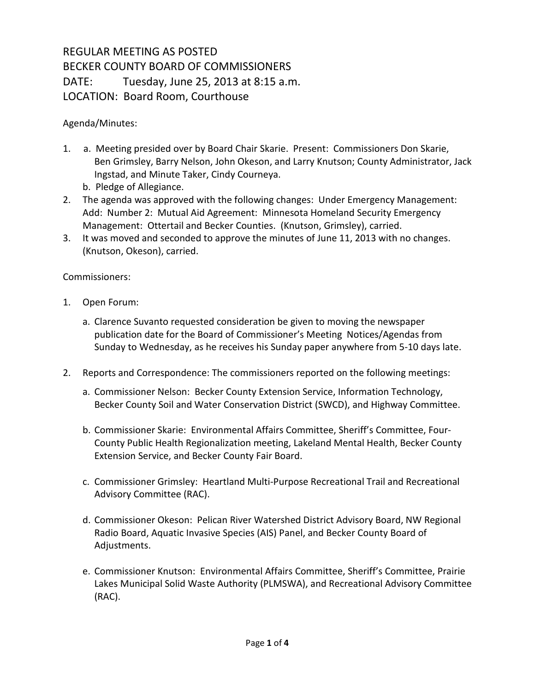## REGULAR MEETING AS POSTED BECKER COUNTY BOARD OF COMMISSIONERS DATE: Tuesday, June 25, 2013 at 8:15 a.m. LOCATION: Board Room, Courthouse

Agenda/Minutes:

- 1. a. Meeting presided over by Board Chair Skarie. Present: Commissioners Don Skarie, Ben Grimsley, Barry Nelson, John Okeson, and Larry Knutson; County Administrator, Jack Ingstad, and Minute Taker, Cindy Courneya.
	- b. Pledge of Allegiance.
- 2. The agenda was approved with the following changes: Under Emergency Management: Add: Number 2: Mutual Aid Agreement: Minnesota Homeland Security Emergency Management: Ottertail and Becker Counties. (Knutson, Grimsley), carried.
- 3. It was moved and seconded to approve the minutes of June 11, 2013 with no changes. (Knutson, Okeson), carried.

Commissioners:

- 1. Open Forum:
	- a. Clarence Suvanto requested consideration be given to moving the newspaper publication date for the Board of Commissioner's Meeting Notices/Agendas from Sunday to Wednesday, as he receives his Sunday paper anywhere from 5-10 days late.
- 2. Reports and Correspondence: The commissioners reported on the following meetings:
	- a. Commissioner Nelson: Becker County Extension Service, Information Technology, Becker County Soil and Water Conservation District (SWCD), and Highway Committee.
	- b. Commissioner Skarie: Environmental Affairs Committee, Sheriff's Committee, Four-County Public Health Regionalization meeting, Lakeland Mental Health, Becker County Extension Service, and Becker County Fair Board.
	- c. Commissioner Grimsley: Heartland Multi-Purpose Recreational Trail and Recreational Advisory Committee (RAC).
	- d. Commissioner Okeson: Pelican River Watershed District Advisory Board, NW Regional Radio Board, Aquatic Invasive Species (AIS) Panel, and Becker County Board of Adjustments.
	- e. Commissioner Knutson: Environmental Affairs Committee, Sheriff's Committee, Prairie Lakes Municipal Solid Waste Authority (PLMSWA), and Recreational Advisory Committee (RAC).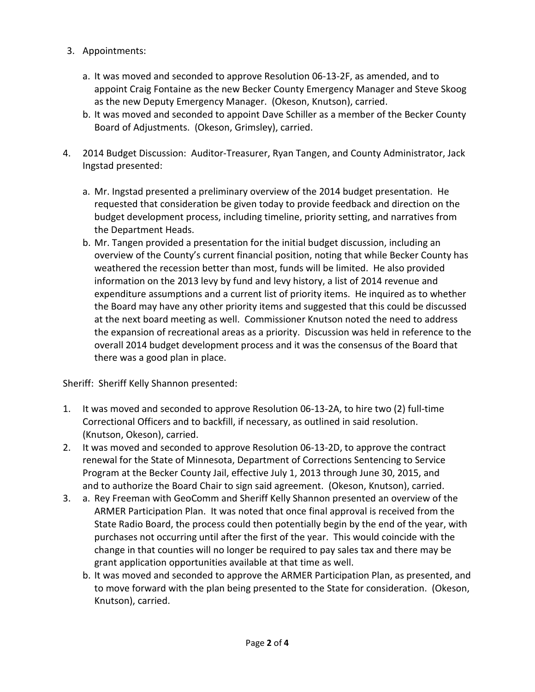- 3. Appointments:
	- a. It was moved and seconded to approve Resolution 06-13-2F, as amended, and to appoint Craig Fontaine as the new Becker County Emergency Manager and Steve Skoog as the new Deputy Emergency Manager. (Okeson, Knutson), carried.
	- b. It was moved and seconded to appoint Dave Schiller as a member of the Becker County Board of Adjustments. (Okeson, Grimsley), carried.
- 4. 2014 Budget Discussion: Auditor-Treasurer, Ryan Tangen, and County Administrator, Jack Ingstad presented:
	- a. Mr. Ingstad presented a preliminary overview of the 2014 budget presentation. He requested that consideration be given today to provide feedback and direction on the budget development process, including timeline, priority setting, and narratives from the Department Heads.
	- b. Mr. Tangen provided a presentation for the initial budget discussion, including an overview of the County's current financial position, noting that while Becker County has weathered the recession better than most, funds will be limited. He also provided information on the 2013 levy by fund and levy history, a list of 2014 revenue and expenditure assumptions and a current list of priority items. He inquired as to whether the Board may have any other priority items and suggested that this could be discussed at the next board meeting as well. Commissioner Knutson noted the need to address the expansion of recreational areas as a priority. Discussion was held in reference to the overall 2014 budget development process and it was the consensus of the Board that there was a good plan in place.

Sheriff: Sheriff Kelly Shannon presented:

- 1. It was moved and seconded to approve Resolution 06-13-2A, to hire two (2) full-time Correctional Officers and to backfill, if necessary, as outlined in said resolution. (Knutson, Okeson), carried.
- 2. It was moved and seconded to approve Resolution 06-13-2D, to approve the contract renewal for the State of Minnesota, Department of Corrections Sentencing to Service Program at the Becker County Jail, effective July 1, 2013 through June 30, 2015, and and to authorize the Board Chair to sign said agreement. (Okeson, Knutson), carried.
- 3. a. Rey Freeman with GeoComm and Sheriff Kelly Shannon presented an overview of the ARMER Participation Plan. It was noted that once final approval is received from the State Radio Board, the process could then potentially begin by the end of the year, with purchases not occurring until after the first of the year. This would coincide with the change in that counties will no longer be required to pay sales tax and there may be grant application opportunities available at that time as well.
	- b. It was moved and seconded to approve the ARMER Participation Plan, as presented, and to move forward with the plan being presented to the State for consideration. (Okeson, Knutson), carried.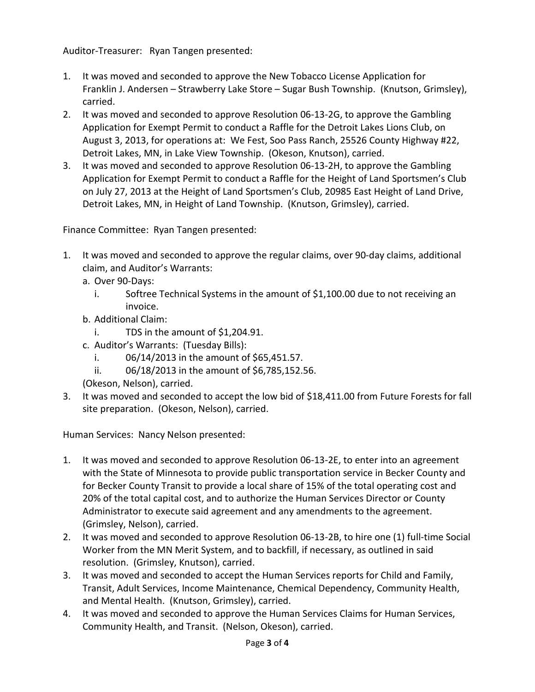Auditor-Treasurer: Ryan Tangen presented:

- 1. It was moved and seconded to approve the New Tobacco License Application for Franklin J. Andersen – Strawberry Lake Store – Sugar Bush Township. (Knutson, Grimsley), carried.
- 2. It was moved and seconded to approve Resolution 06-13-2G, to approve the Gambling Application for Exempt Permit to conduct a Raffle for the Detroit Lakes Lions Club, on August 3, 2013, for operations at: We Fest, Soo Pass Ranch, 25526 County Highway #22, Detroit Lakes, MN, in Lake View Township. (Okeson, Knutson), carried.
- 3. It was moved and seconded to approve Resolution 06-13-2H, to approve the Gambling Application for Exempt Permit to conduct a Raffle for the Height of Land Sportsmen's Club on July 27, 2013 at the Height of Land Sportsmen's Club, 20985 East Height of Land Drive, Detroit Lakes, MN, in Height of Land Township. (Knutson, Grimsley), carried.

Finance Committee: Ryan Tangen presented:

- 1. It was moved and seconded to approve the regular claims, over 90-day claims, additional claim, and Auditor's Warrants:
	- a. Over 90-Days:
		- i. Softree Technical Systems in the amount of \$1,100.00 due to not receiving an invoice.
	- b. Additional Claim:
		- i. TDS in the amount of \$1,204.91.
	- c. Auditor's Warrants: (Tuesday Bills):
		- i.  $06/14/2013$  in the amount of \$65,451.57.
		- ii. 06/18/2013 in the amount of \$6,785,152.56.
	- (Okeson, Nelson), carried.
- 3. It was moved and seconded to accept the low bid of \$18,411.00 from Future Forests for fall site preparation. (Okeson, Nelson), carried.

Human Services: Nancy Nelson presented:

- 1. It was moved and seconded to approve Resolution 06-13-2E, to enter into an agreement with the State of Minnesota to provide public transportation service in Becker County and for Becker County Transit to provide a local share of 15% of the total operating cost and 20% of the total capital cost, and to authorize the Human Services Director or County Administrator to execute said agreement and any amendments to the agreement. (Grimsley, Nelson), carried.
- 2. It was moved and seconded to approve Resolution 06-13-2B, to hire one (1) full-time Social Worker from the MN Merit System, and to backfill, if necessary, as outlined in said resolution. (Grimsley, Knutson), carried.
- 3. It was moved and seconded to accept the Human Services reports for Child and Family, Transit, Adult Services, Income Maintenance, Chemical Dependency, Community Health, and Mental Health. (Knutson, Grimsley), carried.
- 4. It was moved and seconded to approve the Human Services Claims for Human Services, Community Health, and Transit. (Nelson, Okeson), carried.